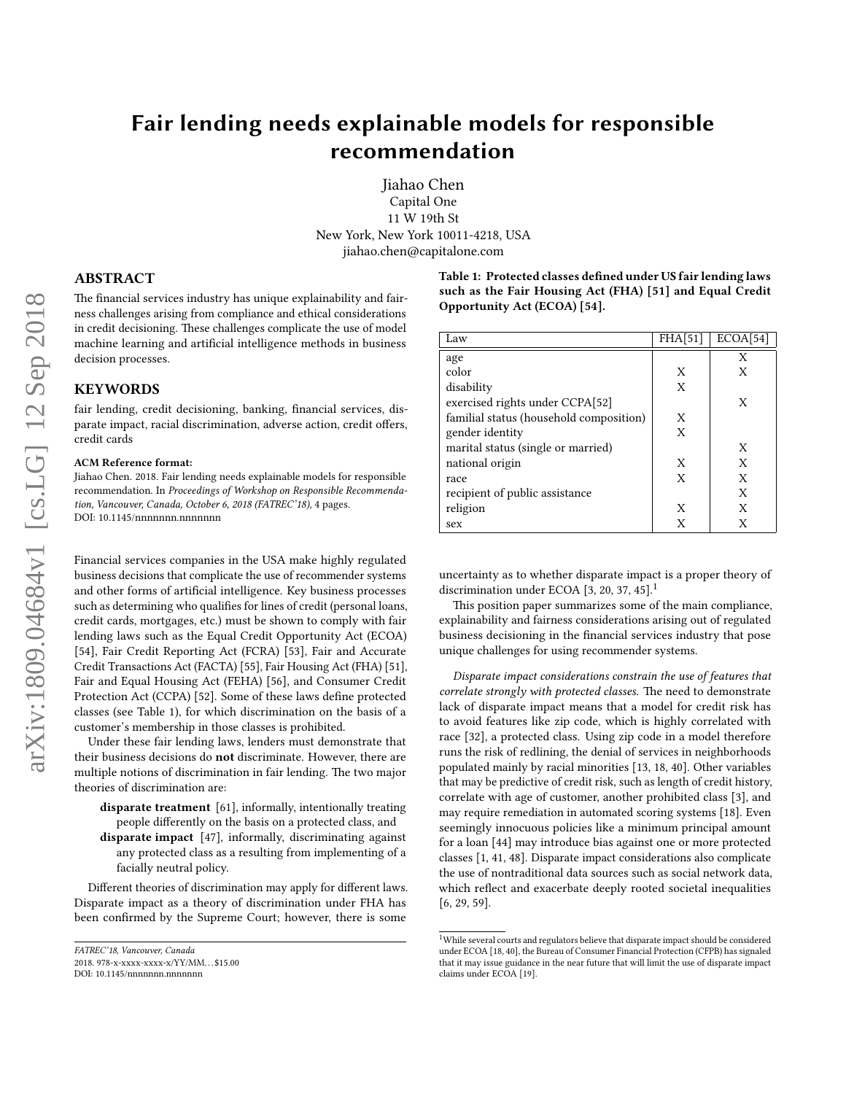# Fair lending needs explainable models for responsible recommendation

Jiahao Chen Capital One 11 W 19th St New York, New York 10011-4218, USA jiahao.chen@capitalone.com

ABSTRACT

The financial services industry has unique explainability and fairness challenges arising from compliance and ethical considerations in credit decisioning. These challenges complicate the use of model machine learning and artificial intelligence methods in business decision processes.

### **KEYWORDS**

fair lending, credit decisioning, banking, financial services, disparate impact, racial discrimination, adverse action, credit offers, credit cards

#### ACM Reference format:

Jiahao Chen. 2018. Fair lending needs explainable models for responsible recommendation. In Proceedings of Workshop on Responsible Recommendation, Vancouver, Canada, October 6, 2018 (FATREC'18), [4](#page-3-0) pages. DOI: 10.1145/nnnnnnn.nnnnnnn

Financial services companies in the USA make highly regulated business decisions that complicate the use of recommender systems and other forms of artificial intelligence. Key business processes such as determining who qualifies for lines of credit (personal loans, credit cards, mortgages, etc.) must be shown to comply with fair lending laws such as the Equal Credit Opportunity Act (ECOA) [\[54\]](#page-3-1), Fair Credit Reporting Act (FCRA) [\[53\]](#page-3-2), Fair and Accurate Credit Transactions Act (FACTA) [\[55\]](#page-3-3), Fair Housing Act (FHA) [\[51\]](#page-3-4), Fair and Equal Housing Act (FEHA) [\[56\]](#page-3-5), and Consumer Credit Protection Act (CCPA) [\[52\]](#page-3-6). Some of these laws define protected classes (see Table [1\)](#page-0-0), for which discrimination on the basis of a customer's membership in those classes is prohibited.

Under these fair lending laws, lenders must demonstrate that their business decisions do not discriminate. However, there are multiple notions of discrimination in fair lending. The two major theories of discrimination are:

- disparate treatment [\[61\]](#page-3-7), informally, intentionally treating people differently on the basis on a protected class, and
- disparate impact [\[47\]](#page-3-8), informally, discriminating against any protected class as a resulting from implementing of a facially neutral policy.

Different theories of discrimination may apply for different laws. Disparate impact as a theory of discrimination under FHA has been confirmed by the Supreme Court; however, there is some

```
FATREC'18, Vancouver, Canada
```
<span id="page-0-0"></span>Table 1: Protected classes defined under US fair lending laws such as the Fair Housing Act (FHA) [\[51\]](#page-3-4) and Equal Credit Opportunity Act (ECOA) [\[54\]](#page-3-1).

| Law                                     | FHA[51] | ECOA[54] |
|-----------------------------------------|---------|----------|
| age                                     |         | X        |
| color                                   | X       | X        |
| disability                              | X       |          |
| exercised rights under CCPA[52]         |         | X        |
| familial status (household composition) | X       |          |
| gender identity                         | X       |          |
| marital status (single or married)      |         | X        |
| national origin                         | X       | X        |
| race                                    | X       | X        |
| recipient of public assistance          |         | X        |
| religion                                | X       | X        |
| sex                                     | X       | X        |

uncertainty as to whether disparate impact is a proper theory of discrimination under ECOA  $[3, 20, 37, 45]$  $[3, 20, 37, 45]$  $[3, 20, 37, 45]$  $[3, 20, 37, 45]$ <sup>[1](#page-0-1)</sup>

This position paper summarizes some of the main compliance, explainability and fairness considerations arising out of regulated business decisioning in the financial services industry that pose unique challenges for using recommender systems.

Disparate impact considerations constrain the use of features that correlate strongly with protected classes. The need to demonstrate lack of disparate impact means that a model for credit risk has to avoid features like zip code, which is highly correlated with race [\[32\]](#page-2-3), a protected class. Using zip code in a model therefore runs the risk of redlining, the denial of services in neighborhoods populated mainly by racial minorities [\[13,](#page-2-4) [18,](#page-2-5) [40\]](#page-3-10). Other variables that may be predictive of credit risk, such as length of credit history, correlate with age of customer, another prohibited class [\[3\]](#page-2-0), and may require remediation in automated scoring systems [\[18\]](#page-2-5). Even seemingly innocuous policies like a minimum principal amount for a loan [\[44\]](#page-3-11) may introduce bias against one or more protected classes [\[1,](#page-2-6) [41,](#page-3-12) [48\]](#page-3-13). Disparate impact considerations also complicate the use of nontraditional data sources such as social network data, which reflect and exacerbate deeply rooted societal inequalities [\[6,](#page-2-7) [29,](#page-2-8) [59\]](#page-3-14).

<sup>2018. 978-</sup>x-xxxx-xxxx-x/YY/MM. . . \$15.00

DOI: 10.1145/nnnnnnn.nnnnnnn

<span id="page-0-1"></span> $^{\rm 1}$  While several courts and regulators believe that disparate impact should be considered under ECOA [\[18,](#page-2-5) [40\]](#page-3-10), the Bureau of Consumer Financial Protection (CFPB) has signaled that it may issue guidance in the near future that will limit the use of disparate impact claims under ECOA [\[19\]](#page-2-9).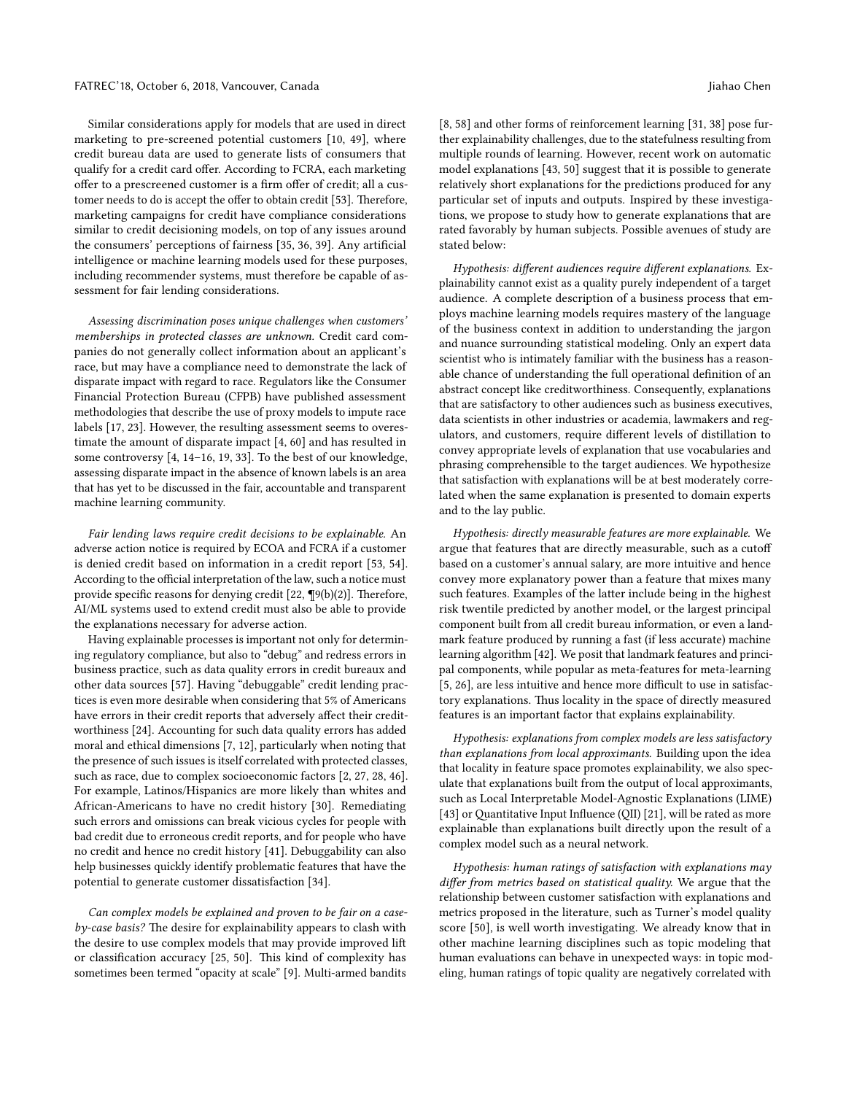Similar considerations apply for models that are used in direct marketing to pre-screened potential customers [\[10,](#page-2-10) [49\]](#page-3-15), where credit bureau data are used to generate lists of consumers that qualify for a credit card offer. According to FCRA, each marketing offer to a prescreened customer is a firm offer of credit; all a cus-tomer needs to do is accept the offer to obtain credit [\[53\]](#page-3-2). Therefore, marketing campaigns for credit have compliance considerations similar to credit decisioning models, on top of any issues around the consumers' perceptions of fairness [\[35,](#page-2-11) [36,](#page-2-12) [39\]](#page-2-13). Any artificial intelligence or machine learning models used for these purposes, including recommender systems, must therefore be capable of assessment for fair lending considerations.

Assessing discrimination poses unique challenges when customers' memberships in protected classes are unknown. Credit card companies do not generally collect information about an applicant's race, but may have a compliance need to demonstrate the lack of disparate impact with regard to race. Regulators like the Consumer Financial Protection Bureau (CFPB) have published assessment methodologies that describe the use of proxy models to impute race labels [\[17,](#page-2-14) [23\]](#page-2-15). However, the resulting assessment seems to overestimate the amount of disparate impact [\[4,](#page-2-16) [60\]](#page-3-16) and has resulted in some controversy [\[4,](#page-2-16) [14](#page-2-17)[–16,](#page-2-18) [19,](#page-2-9) [33\]](#page-2-19). To the best of our knowledge, assessing disparate impact in the absence of known labels is an area that has yet to be discussed in the fair, accountable and transparent machine learning community.

Fair lending laws require credit decisions to be explainable. An adverse action notice is required by ECOA and FCRA if a customer is denied credit based on information in a credit report [\[53,](#page-3-2) [54\]](#page-3-1). According to the official interpretation of the law, such a notice must provide specific reasons for denying credit  $[22, \P9(b)(2)]$  $[22, \P9(b)(2)]$ . Therefore, AI/ML systems used to extend credit must also be able to provide the explanations necessary for adverse action.

Having explainable processes is important not only for determining regulatory compliance, but also to "debug" and redress errors in business practice, such as data quality errors in credit bureaux and other data sources [\[57\]](#page-3-17). Having "debuggable" credit lending practices is even more desirable when considering that 5% of Americans have errors in their credit reports that adversely affect their creditworthiness [\[24\]](#page-2-21). Accounting for such data quality errors has added moral and ethical dimensions [\[7,](#page-2-22) [12\]](#page-2-23), particularly when noting that the presence of such issues is itself correlated with protected classes, such as race, due to complex socioeconomic factors [\[2,](#page-2-24) [27,](#page-2-25) [28,](#page-2-26) [46\]](#page-3-18). For example, Latinos/Hispanics are more likely than whites and African-Americans to have no credit history [\[30\]](#page-2-27). Remediating such errors and omissions can break vicious cycles for people with bad credit due to erroneous credit reports, and for people who have no credit and hence no credit history [\[41\]](#page-3-12). Debuggability can also help businesses quickly identify problematic features that have the potential to generate customer dissatisfaction [\[34\]](#page-2-28).

Can complex models be explained and proven to be fair on a caseby-case basis? The desire for explainability appears to clash with the desire to use complex models that may provide improved lift or classification accuracy [\[25,](#page-2-29) [50\]](#page-3-19). This kind of complexity has sometimes been termed "opacity at scale" [\[9\]](#page-2-30). Multi-armed bandits

[\[8,](#page-2-31) [58\]](#page-3-20) and other forms of reinforcement learning [\[31,](#page-2-32) [38\]](#page-2-33) pose further explainability challenges, due to the statefulness resulting from multiple rounds of learning. However, recent work on automatic model explanations [\[43,](#page-3-21) [50\]](#page-3-19) suggest that it is possible to generate relatively short explanations for the predictions produced for any particular set of inputs and outputs. Inspired by these investigations, we propose to study how to generate explanations that are rated favorably by human subjects. Possible avenues of study are stated below:

Hypothesis: different audiences require different explanations. Explainability cannot exist as a quality purely independent of a target audience. A complete description of a business process that employs machine learning models requires mastery of the language of the business context in addition to understanding the jargon and nuance surrounding statistical modeling. Only an expert data scientist who is intimately familiar with the business has a reasonable chance of understanding the full operational definition of an abstract concept like creditworthiness. Consequently, explanations that are satisfactory to other audiences such as business executives, data scientists in other industries or academia, lawmakers and regulators, and customers, require different levels of distillation to convey appropriate levels of explanation that use vocabularies and phrasing comprehensible to the target audiences. We hypothesize that satisfaction with explanations will be at best moderately correlated when the same explanation is presented to domain experts and to the lay public.

Hypothesis: directly measurable features are more explainable. We argue that features that are directly measurable, such as a cuto based on a customer's annual salary, are more intuitive and hence convey more explanatory power than a feature that mixes many such features. Examples of the latter include being in the highest risk twentile predicted by another model, or the largest principal component built from all credit bureau information, or even a landmark feature produced by running a fast (if less accurate) machine learning algorithm [\[42\]](#page-3-22). We posit that landmark features and principal components, while popular as meta-features for meta-learning  $[5, 26]$  $[5, 26]$  $[5, 26]$ , are less intuitive and hence more difficult to use in satisfactory explanations. Thus locality in the space of directly measured features is an important factor that explains explainability.

Hypothesis: explanations from complex models are less satisfactory than explanations from local approximants. Building upon the idea that locality in feature space promotes explainability, we also speculate that explanations built from the output of local approximants, such as Local Interpretable Model-Agnostic Explanations (LIME) [\[43\]](#page-3-21) or Quantitative Input Influence (QII) [\[21\]](#page-2-36), will be rated as more explainable than explanations built directly upon the result of a complex model such as a neural network.

Hypothesis: human ratings of satisfaction with explanations may differ from metrics based on statistical quality. We argue that the relationship between customer satisfaction with explanations and metrics proposed in the literature, such as Turner's model quality score [\[50\]](#page-3-19), is well worth investigating. We already know that in other machine learning disciplines such as topic modeling that human evaluations can behave in unexpected ways: in topic modeling, human ratings of topic quality are negatively correlated with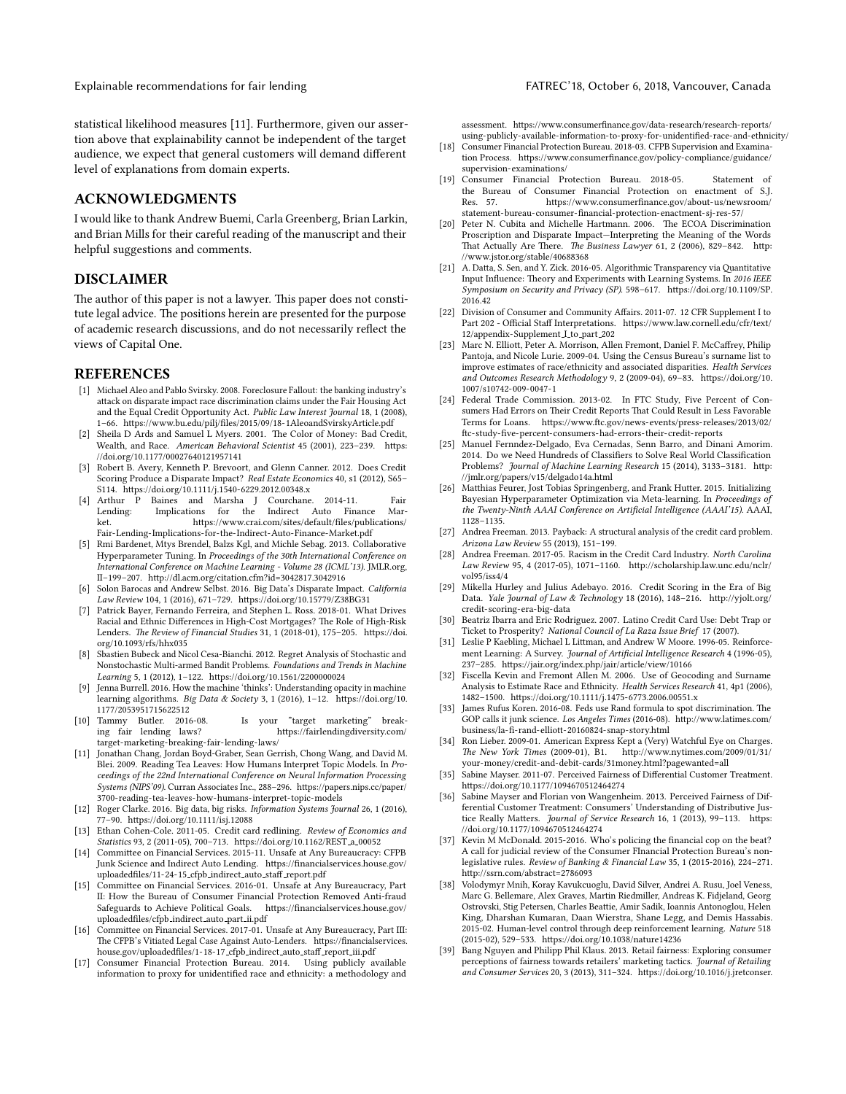statistical likelihood measures [\[11\]](#page-2-37). Furthermore, given our assertion above that explainability cannot be independent of the target audience, we expect that general customers will demand different level of explanations from domain experts.

## ACKNOWLEDGMENTS

I would like to thank Andrew Buemi, Carla Greenberg, Brian Larkin, and Brian Mills for their careful reading of the manuscript and their helpful suggestions and comments.

## DISCLAIMER

The author of this paper is not a lawyer. This paper does not constitute legal advice. The positions herein are presented for the purpose of academic research discussions, and do not necessarily reflect the views of Capital One.

#### REFERENCES

- <span id="page-2-6"></span>[1] Michael Aleo and Pablo Svirsky. 2008. Foreclosure Fallout: the banking industry's attack on disparate impact race discrimination claims under the Fair Housing Act and the Equal Credit Opportunity Act. Public Law Interest Journal 18, 1 (2008), 1-66. https://www.bu.edu/pilj/files/2015/09/18-1AleoandSvirskyArticle.pdf
- <span id="page-2-24"></span>[2] Sheila D Ards and Samuel L Myers. 2001. The Color of Money: Bad Credit, Wealth, and Race. American Behavioral Scientist 45 (2001), 223-239. https: [//doi.org/10.1177/00027640121957141](https://doi.org/10.1177/00027640121957141)
- <span id="page-2-0"></span>[3] Robert B. Avery, Kenneth P. Brevoort, and Glenn Canner. 2012. Does Credit Scoring Produce a Disparate Impact? Real Estate Economics 40, s1 (2012), S65– S114. https://doi.org/10.1111/j.1540-6229.2012.00348.x<br>[4] Arthur P Baines and Marsha J Courchane
- <span id="page-2-16"></span>Arthur P Baines and Marsha J Courchane. 2014-11. Fair<br>Lending: Implications for the Indirect Auto Finance Mar-Lending: Implications for the Indirect Auto Finance Mar-<br>ket. https://www.crai.com/sites/default/files/publications/ https://www.crai.com/sites/default/files/publications/ [Fair-Lending-Implications-for-the-Indirect-Auto-Finance-Market.pdf](https://www.crai.com/sites/default/files/publications/Fair-Lending-Implications-for-the-Indirect-Auto-Finance-Market.pdf)
- <span id="page-2-34"></span>[5] Rmi Bardenet, Mtys Brendel, Balzs Kgl, and Michle Sebag. 2013. Collaborative Hyperparameter Tuning. In Proceedings of the 30th International Conference on International Conference on Machine Learning - Volume 28 (ICML'13). JMLR.org, II-199-207. http://dl.acm.org/citation.cfm?id=3042817.3042916
- <span id="page-2-7"></span>[6] Solon Barocas and Andrew Selbst. 2016. Big Data's Disparate Impact. California  $Law \ Review \ 104,$  1 (2016), 671-729. https://doi.org/10.15779/Z38BG31
- <span id="page-2-22"></span>[7] Patrick Bayer, Fernando Ferreira, and Stephen L. Ross. 2018-01. What Drives Racial and Ethnic Differences in High-Cost Mortgages? The Role of High-Risk Lenders. The Review of Financial Studies 31, 1 (2018-01), 175-205. https://doi. [org/10.1093/rfs/hhx035](https://doi.org/10.1093/rfs/hhx035)
- <span id="page-2-31"></span>[8] Sbastien Bubeck and Nicol Cesa-Bianchi. 2012. Regret Analysis of Stochastic and Nonstochastic Multi-armed Bandit Problems. Foundations and Trends in Machine  $Learning\ 5, 1\ (2012), 1–122. \ \   
https://doi.org/10.1561/2200000024$
- <span id="page-2-30"></span>[9] Jenna Burrell. 2016. How the machine 'thinks': Understanding opacity in machine learning algorithms. Big Data & Society 3, 1 (2016), 1-12. https://doi.org/10. [1177/2053951715622512](https://doi.org/10.1177/2053951715622512)<br>[10] Tammy Butler. 2016-08.
- <span id="page-2-10"></span>Tammy Butler. 2016-08. Is your "target marketing" break-<br>ing fair lending laws? https://fairlendingdiversity.com/ https://fairlendingdiversity.com/ [target-marketing-breaking-fair-lending-laws/](https://fairlendingdiversity.com/target-marketing-breaking-fair-lending-laws/)
- <span id="page-2-37"></span>[11] Jonathan Chang, Jordan Boyd-Graber, Sean Gerrish, Chong Wang, and David M. Blei. 2009. Reading Tea Leaves: How Humans Interpret Topic Models. In Proceedings of the 22nd International Conference on Neural Information Processing Systems (NIPS'09). Curran Associates Inc., 288-296. https://papers.nips.cc/paper/ [3700-reading-tea-leaves-how-humans-interpret-topic-models](https://papers.nips.cc/paper/3700-reading-tea-leaves-how-humans-interpret-topic-models)
- <span id="page-2-23"></span>[12] Roger Clarke. 2016. Big data, big risks. Information Systems Journal 26, 1 (2016), 77-90. https://doi.org/10.1111/isj.12088
- <span id="page-2-4"></span>[13] Ethan Cohen-Cole. 2011-05. Credit card redlining. Review of Economics and Statistics 93, 2 (2011-05), 700-713. https://doi.org/10.1162/REST\_a\_00052
- <span id="page-2-17"></span>[14] Committee on Financial Services. 2015-11. Unsafe at Any Bureaucracy: CFPB Junk Science and Indirect Auto Lending. https://financialservices.house.gov/ uploadedfiles/11-24-15\_cfpb\_indirect\_auto\_staff\_report.pdf
- [15] Committee on Financial Services. 2016-01. Unsafe at Any Bureaucracy, Part II: How the Bureau of Consumer Financial Protection Removed Anti-fraud Safeguards to Achieve Political Goals. https://financialservices.house.gov/ [uploadedles/cfpb](https://financialservices.house.gov/uploadedfiles/cfpb_indirect_auto_part_ii.pdf) indirect auto part ii.pdf
- <span id="page-2-18"></span>[16] Committee on Financial Services. 2017-01. Unsafe at Any Bureaucracy, Part III: The CFPB's Vitiated Legal Case Against Auto-Lenders. https://financialservices. house.gov/uploadedfiles/1-18-17\_cfpb\_indirect\_auto\_staff\_report\_iii.pdf
- <span id="page-2-14"></span>[17] Consumer Financial Protection Bureau. 2014. Using publicly available information to proxy for unidentified race and ethnicity: a methodology and

assessment. https://www.consumerfinance.gov/data-research/research-reports/ using-publicly-available-information-to-proxy-for-unidentified-race-and-ethnicity/

- <span id="page-2-5"></span>[18] Consumer Financial Protection Bureau. 2018-03. CFPB Supervision and Examination Process. https://www.consumerfinance.gov/policy-compliance/guidance/ [supervision-examinations/](https://www.consumerfinance.gov/policy-compliance/guidance/supervision-examinations/)
- <span id="page-2-9"></span>[19] Consumer Financial Protection Bureau. 2018-05. Statement of the Bureau of Consumer Financial Protection on enactment of S.J. Res. 57. https://www.consumerfinance.gov/about-us/newsroom/ [statement-bureau-consumer-nancial-protection-enactment-sj-res-57/](https://www.consumerfinance.gov/about-us/newsroom/statement-bureau-consumer-financial-protection-enactment-sj-res-57/)
- <span id="page-2-1"></span>[20] Peter N. Cubita and Michelle Hartmann. 2006. The ECOA Discrimination Proscription and Disparate Impact—Interpreting the Meaning of the Words That Actually Are There. The Business Lawyer 61, 2 (2006), 829-842. http: [//www.jstor.org/stable/40688368](http://www.jstor.org/stable/40688368)
- <span id="page-2-36"></span>[21] A. Datta, S. Sen, and Y. Zick. 2016-05. Algorithmic Transparency via Quantitative Input Influence: Theory and Experiments with Learning Systems. In 2016 IEEE Symposium on Security and Privacy (SP). 598-617. https://doi.org/10.1109/SP. [2016.42](https://doi.org/10.1109/SP.2016.42)
- <span id="page-2-20"></span>[22] Division of Consumer and Community Affairs. 2011-07. 12 CFR Supplement I to Part 202 - Official Staff Interpretations. https://www.law.cornell.edu/cfr/text/ [12/appendix-Supplement](https://www.law.cornell.edu/cfr/text/12/appendix-Supplement_I_to_part_202) I to part 202
- <span id="page-2-15"></span>[23] Marc N. Elliott, Peter A. Morrison, Allen Fremont, Daniel F. McCaffrey, Philip Pantoja, and Nicole Lurie. 2009-04. Using the Census Bureau's surname list to improve estimates of race/ethnicity and associated disparities. Health Services and Outcomes Research Methodology 9, 2 (2009-04), 69-83. https://doi.org/10. [1007/s10742-009-0047-1](https://doi.org/10.1007/s10742-009-0047-1)
- <span id="page-2-21"></span>[24] Federal Trade Commission. 2013-02. In FTC Study, Five Percent of Consumers Had Errors on Their Credit Reports That Could Result in Less Favorable Terms for Loans. https://www.ftc.gov/news-events/press-releases/2013/02/ ftc-study-five-percent-consumers-had-errors-their-credit-reports
- <span id="page-2-29"></span>[25] Manuel Fernndez-Delgado, Eva Cernadas, Senn Barro, and Dinani Amorim. 2014. Do we Need Hundreds of Classifiers to Solve Real World Classification Problems? Journal of Machine Learning Research 15 (2014), 3133-3181. http: [//jmlr.org/papers/v15/delgado14a.html](http://jmlr.org/papers/v15/delgado14a.html)
- <span id="page-2-35"></span>[26] Matthias Feurer, Jost Tobias Springenberg, and Frank Hutter. 2015. Initializing Bayesian Hyperparameter Optimization via Meta-learning. In Proceedings of the Twenty-Ninth AAAI Conference on Artificial Intelligence (AAAI'15). AAAI, 1128–1135.
- <span id="page-2-25"></span>[27] Andrea Freeman. 2013. Payback: A structural analysis of the credit card problem. Arizona Law Review 55 (2013), 151–199.
- <span id="page-2-26"></span>Andrea Freeman. 2017-05. Racism in the Credit Card Industry. North Carolina Law Review 95, 4 (2017-05), 1071-1160. http://scholarship.law.unc.edu/nclr/ [vol95/iss4/4](http://scholarship.law.unc.edu/nclr/vol95/iss4/4)
- <span id="page-2-8"></span>[29] Mikella Hurley and Julius Adebayo. 2016. Credit Scoring in the Era of Big Data. Yale Journal of Law & Technology 18 (2016), 148-216. http://yjolt.org/ [credit-scoring-era-big-data](http://yjolt.org/credit-scoring-era-big-data)
- <span id="page-2-27"></span>[30] Beatriz Ibarra and Eric Rodriguez. 2007. Latino Credit Card Use: Debt Trap or Ticket to Prosperity? National Council of La Raza Issue Brief 17 (2007).
- <span id="page-2-32"></span>[31] Leslie P Kaebling, Michael L Littman, and Andrew W Moore. 1996-05. Reinforcement Learning: A Survey. Journal of Artificial Intelligence Research 4 (1996-05), 237-285. https://jair.org/index.php/jair/article/view/10166
- <span id="page-2-3"></span>[32] Fiscella Kevin and Fremont Allen M. 2006. Use of Geocoding and Surname Analysis to Estimate Race and Ethnicity. Health Services Research 41, 4p1 (2006), 1482–1500. https://doi.org/10.1111/j.1475-6773.2006.00551.x
- <span id="page-2-19"></span>[33] James Rufus Koren. 2016-08. Feds use Rand formula to spot discrimination. The GOP calls it junk science. Los Angeles Times (2016-08). http://www.latimes.com/ business/la-fi-rand-elliott-20160824-snap-story.html
- <span id="page-2-28"></span>[34] Ron Lieber. 2009-01. American Express Kept a (Very) Watchful Eye on Charges. The New York Times (2009-01), B1. http://www.nytimes.com/2009/01/31/ [your-money/credit-and-debit-cards/31money.html?pagewanted=all](http://www.nytimes.com/2009/01/31/your-money/credit-and-debit-cards/31money.html?pagewanted=all)
- <span id="page-2-11"></span>[35] Sabine Mayser. 2011-07. Perceived Fairness of Differential Customer Treatment. [hps://doi.org/10.1177/1094670512464274](https://doi.org/10.1177/1094670512464274)
- <span id="page-2-12"></span>[36] Sabine Mayser and Florian von Wangenheim. 2013. Perceived Fairness of Differential Customer Treatment: Consumers' Understanding of Distributive Justice Really Matters. Journal of Service Research 16, 1 (2013), 99-113. https: [//doi.org/10.1177/1094670512464274](https://doi.org/10.1177/1094670512464274)
- <span id="page-2-2"></span>[37] Kevin M McDonald. 2015-2016. Who's policing the financial cop on the beat? A call for judicial review of the Consumer FInancial Protection Bureau's nonlegislative rules. Review of Banking & Financial Law 35, 1 (2015-2016), 224–271. [hp://ssrn.com/abstract=2786093](http://ssrn.com/abstract=2786093)
- <span id="page-2-33"></span>[38] Volodymyr Mnih, Koray Kavukcuoglu, David Silver, Andrei A. Rusu, Joel Veness, Marc G. Bellemare, Alex Graves, Martin Riedmiller, Andreas K. Fidjeland, Georg Ostrovski, Stig Petersen, Charles Beattie, Amir Sadik, Ioannis Antonoglou, Helen King, Dharshan Kumaran, Daan Wierstra, Shane Legg, and Demis Hassabis. 2015-02. Human-level control through deep reinforcement learning. Nature 518 (2015-02), 529-533. https://doi.org/10.1038/nature14236
- <span id="page-2-13"></span>Bang Nguyen and Philipp Phil Klaus. 2013. Retail fairness: Exploring consumer perceptions of fairness towards retailers' marketing tactics. Journal of Retailing and Consumer Services 20, 3 (2013), 311-324. https://doi.org/10.1016/j.jretconser.